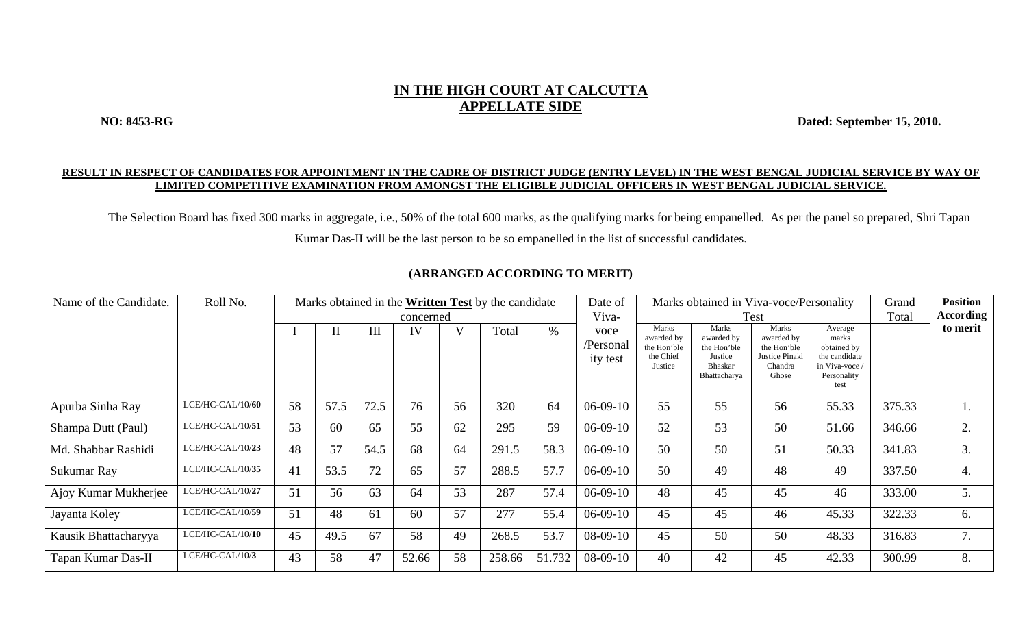## **IN THE HIGH COURT AT CALCUTTA APPELLATE SIDE**

**NO: 8453-RG Dated: September 15, 2010.** 

## **RESULT IN RESPECT OF CANDIDATES FOR APPOINTMENT IN THE CADRE OF DISTRICT JUDGE (ENTRY LEVEL) IN THE WEST BENGAL JUDICIAL SERVICE BY WAY OF LIMITED COMPETITIVE EXAMINATION FROM AMONGST THE ELIGIBLE JUDICIAL OFFICERS IN WEST BENGAL JUDICIAL SERVICE.**

The Selection Board has fixed 300 marks in aggregate, i.e., 50% of the total 600 marks, as the qualifying marks for being empanelled. As per the panel so prepared, Shri Tapan Kumar Das-II will be the last person to be so empanelled in the list of successful candidates.

| Name of the Candidate. | Roll No.         | Marks obtained in the Written Test by the candidate |          |      |       |              |        |        |                               | Marks obtained in Viva-voce/Personality<br>Date of         |                                                                                 |                                                                          |                                                                                           |        | <b>Position</b> |
|------------------------|------------------|-----------------------------------------------------|----------|------|-------|--------------|--------|--------|-------------------------------|------------------------------------------------------------|---------------------------------------------------------------------------------|--------------------------------------------------------------------------|-------------------------------------------------------------------------------------------|--------|-----------------|
|                        |                  | concerned                                           |          |      |       |              |        |        | Viva-                         |                                                            | Test                                                                            | Total                                                                    | <b>According</b>                                                                          |        |                 |
|                        |                  |                                                     | $\rm II$ | III  | IV    | $\mathbf{V}$ | Total  | $\%$   | voce<br>/Personal<br>ity test | Marks<br>awarded by<br>the Hon'ble<br>the Chief<br>Justice | Marks<br>awarded by<br>the Hon'ble<br>Justice<br><b>Bhaskar</b><br>Bhattacharya | Marks<br>awarded by<br>the Hon'ble<br>Justice Pinaki<br>Chandra<br>Ghose | Average<br>marks<br>obtained by<br>the candidate<br>in Viva-voce /<br>Personality<br>test |        | to merit        |
| Apurba Sinha Ray       | LCE/HC-CAL/10/60 | 58                                                  | 57.5     | 72.5 | 76    | 56           | 320    | 64     | $06-09-10$                    | 55                                                         | 55                                                                              | 56                                                                       | 55.33                                                                                     | 375.33 | 1.              |
| Shampa Dutt (Paul)     | LCE/HC-CAL/10/51 | 53                                                  | 60       | 65   | 55    | 62           | 295    | 59     | $06-09-10$                    | 52                                                         | 53                                                                              | 50                                                                       | 51.66                                                                                     | 346.66 | 2.              |
| Md. Shabbar Rashidi    | LCE/HC-CAL/10/23 | 48                                                  | 57       | 54.5 | 68    | 64           | 291.5  | 58.3   | $06-09-10$                    | 50                                                         | 50                                                                              | 51                                                                       | 50.33                                                                                     | 341.83 | 3.              |
| Sukumar Ray            | LCE/HC-CAL/10/35 | 41                                                  | 53.5     | 72   | 65    | 57           | 288.5  | 57.7   | $06-09-10$                    | 50                                                         | 49                                                                              | 48                                                                       | 49                                                                                        | 337.50 | 4.              |
| Ajoy Kumar Mukherjee   | LCE/HC-CAL/10/27 | 51                                                  | 56       | 63   | 64    | 53           | 287    | 57.4   | $06-09-10$                    | 48                                                         | 45                                                                              | 45                                                                       | 46                                                                                        | 333.00 | 5.              |
| Jayanta Koley          | LCE/HC-CAL/10/59 | 51                                                  | 48       | 61   | 60    | 57           | 277    | 55.4   | $06-09-10$                    | 45                                                         | 45                                                                              | 46                                                                       | 45.33                                                                                     | 322.33 | 6.              |
| Kausik Bhattacharyya   | LCE/HC-CAL/10/10 | 45                                                  | 49.5     | 67   | 58    | 49           | 268.5  | 53.7   | $08-09-10$                    | 45                                                         | 50                                                                              | 50                                                                       | 48.33                                                                                     | 316.83 | 7.              |
| Tapan Kumar Das-II     | LCE/HC-CAL/10/3  | 43                                                  | 58       | 47   | 52.66 | 58           | 258.66 | 51.732 | $08-09-10$                    | 40                                                         | 42                                                                              | 45                                                                       | 42.33                                                                                     | 300.99 | 8.              |

## **(ARRANGED ACCORDING TO MERIT)**